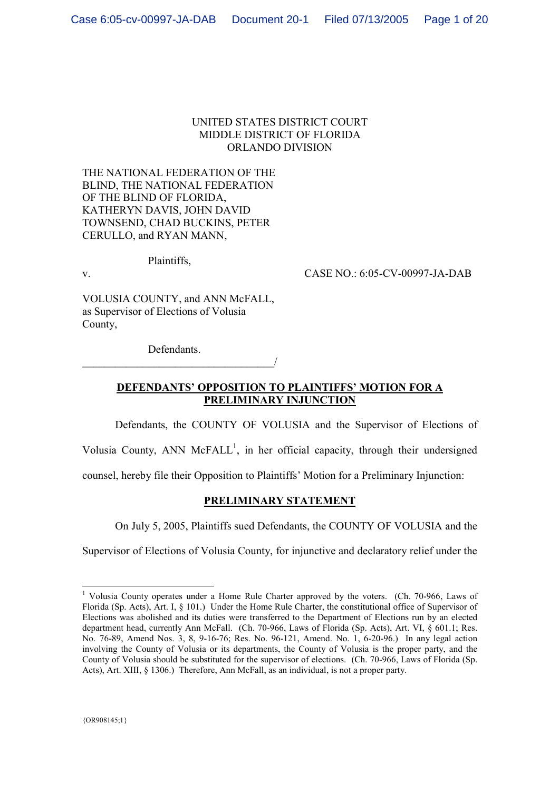### UNITED STATES DISTRICT COURT MIDDLE DISTRICT OF FLORIDA ORLANDO DIVISION

THE NATIONAL FEDERATION OF THE BLIND, THE NATIONAL FEDERATION OF THE BLIND OF FLORIDA, KATHERYN DAVIS, JOHN DAVID TOWNSEND, CHAD BUCKINS, PETER CERULLO, and RYAN MANN,

Plaintiffs,

v. CASE NO.: 6:05-CV-00997-JA-DAB

VOLUSIA COUNTY, and ANN McFALL, as Supervisor of Elections of Volusia County,

Defendants.

 $\overline{\phantom{a}}$ 

# **DEFENDANTS' OPPOSITION TO PLAINTIFFS' MOTION FOR A PRELIMINARY INJUNCTION**

Defendants, the COUNTY OF VOLUSIA and the Supervisor of Elections of

Volusia County, ANN McFALL<sup>1</sup>, in her official capacity, through their undersigned

counsel, hereby file their Opposition to Plaintiffs' Motion for a Preliminary Injunction:

## **PRELIMINARY STATEMENT**

On July 5, 2005, Plaintiffs sued Defendants, the COUNTY OF VOLUSIA and the

Supervisor of Elections of Volusia County, for injunctive and declaratory relief under the

<sup>&</sup>lt;sup>1</sup> Volusia County operates under a Home Rule Charter approved by the voters. (Ch. 70-966, Laws of Florida (Sp. Acts), Art. I, § 101.) Under the Home Rule Charter, the constitutional office of Supervisor of Elections was abolished and its duties were transferred to the Department of Elections run by an elected department head, currently Ann McFall. (Ch. 70-966, Laws of Florida (Sp. Acts), Art. VI, § 601.1; Res. No. 76-89, Amend Nos. 3, 8, 9-16-76; Res. No. 96-121, Amend. No. 1, 6-20-96.) In any legal action involving the County of Volusia or its departments, the County of Volusia is the proper party, and the County of Volusia should be substituted for the supervisor of elections. (Ch. 70-966, Laws of Florida (Sp. Acts), Art. XIII, § 1306.) Therefore, Ann McFall, as an individual, is not a proper party.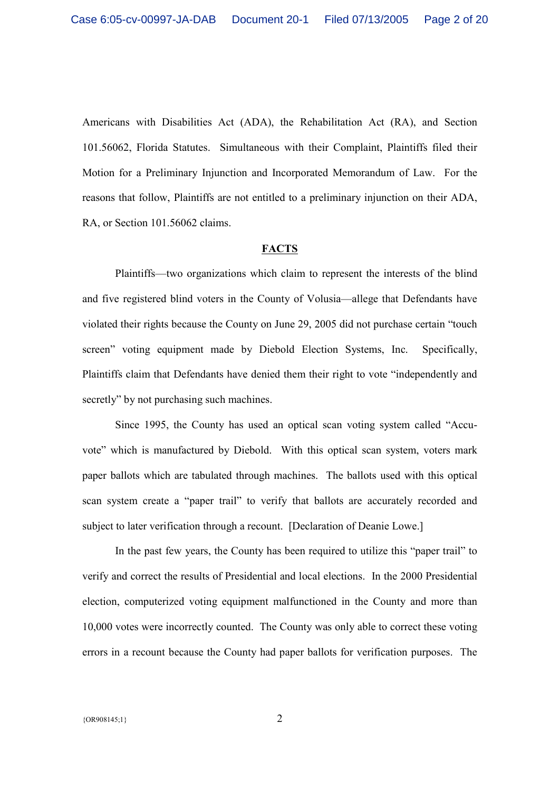Americans with Disabilities Act (ADA), the Rehabilitation Act (RA), and Section 101.56062, Florida Statutes. Simultaneous with their Complaint, Plaintiffs filed their Motion for a Preliminary Injunction and Incorporated Memorandum of Law. For the reasons that follow, Plaintiffs are not entitled to a preliminary injunction on their ADA, RA, or Section 101.56062 claims.

### **FACTS**

Plaintiffs—two organizations which claim to represent the interests of the blind and five registered blind voters in the County of Volusia—allege that Defendants have violated their rights because the County on June 29, 2005 did not purchase certain "touch screen" voting equipment made by Diebold Election Systems, Inc. Specifically, Plaintiffs claim that Defendants have denied them their right to vote "independently and secretly" by not purchasing such machines.

Since 1995, the County has used an optical scan voting system called "Accuvote" which is manufactured by Diebold. With this optical scan system, voters mark paper ballots which are tabulated through machines. The ballots used with this optical scan system create a "paper trail" to verify that ballots are accurately recorded and subject to later verification through a recount. [Declaration of Deanie Lowe.]

In the past few years, the County has been required to utilize this "paper trail" to verify and correct the results of Presidential and local elections. In the 2000 Presidential election, computerized voting equipment malfunctioned in the County and more than 10,000 votes were incorrectly counted. The County was only able to correct these voting errors in a recount because the County had paper ballots for verification purposes. The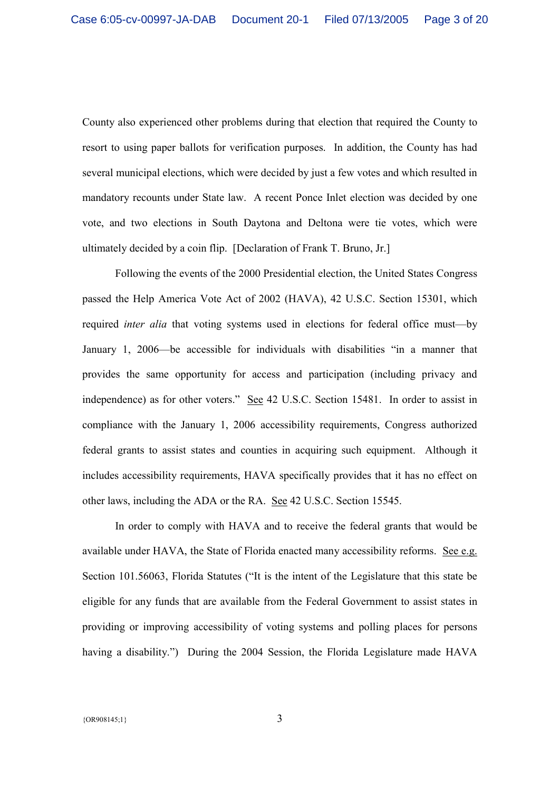County also experienced other problems during that election that required the County to resort to using paper ballots for verification purposes. In addition, the County has had several municipal elections, which were decided by just a few votes and which resulted in mandatory recounts under State law. A recent Ponce Inlet election was decided by one vote, and two elections in South Daytona and Deltona were tie votes, which were ultimately decided by a coin flip. [Declaration of Frank T. Bruno, Jr.]

Following the events of the 2000 Presidential election, the United States Congress passed the Help America Vote Act of 2002 (HAVA), 42 U.S.C. Section 15301, which required *inter alia* that voting systems used in elections for federal office must—by January 1, 2006—be accessible for individuals with disabilities "in a manner that provides the same opportunity for access and participation (including privacy and independence) as for other voters." See 42 U.S.C. Section 15481. In order to assist in compliance with the January 1, 2006 accessibility requirements, Congress authorized federal grants to assist states and counties in acquiring such equipment. Although it includes accessibility requirements, HAVA specifically provides that it has no effect on other laws, including the ADA or the RA. See 42 U.S.C. Section 15545.

In order to comply with HAVA and to receive the federal grants that would be available under HAVA, the State of Florida enacted many accessibility reforms. See e.g. Section 101.56063, Florida Statutes ("It is the intent of the Legislature that this state be eligible for any funds that are available from the Federal Government to assist states in providing or improving accessibility of voting systems and polling places for persons having a disability.") During the 2004 Session, the Florida Legislature made HAVA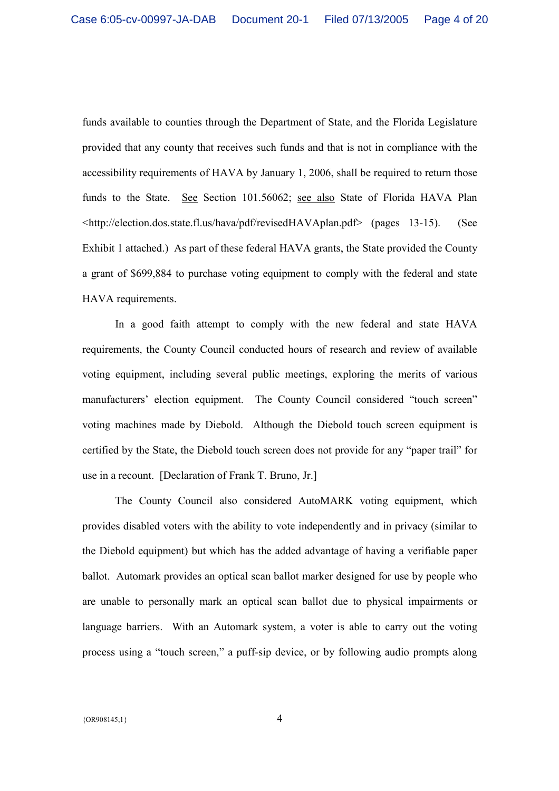funds available to counties through the Department of State, and the Florida Legislature provided that any county that receives such funds and that is not in compliance with the accessibility requirements of HAVA by January 1, 2006, shall be required to return those funds to the State. See Section 101.56062; see also State of Florida HAVA Plan <http://election.dos.state.fl.us/hava/pdf/revisedHAVAplan.pdf> (pages 13-15). (See Exhibit 1 attached.) As part of these federal HAVA grants, the State provided the County a grant of \$699,884 to purchase voting equipment to comply with the federal and state HAVA requirements.

In a good faith attempt to comply with the new federal and state HAVA requirements, the County Council conducted hours of research and review of available voting equipment, including several public meetings, exploring the merits of various manufacturers' election equipment. The County Council considered "touch screen" voting machines made by Diebold. Although the Diebold touch screen equipment is certified by the State, the Diebold touch screen does not provide for any "paper trail" for use in a recount. [Declaration of Frank T. Bruno, Jr.]

The County Council also considered AutoMARK voting equipment, which provides disabled voters with the ability to vote independently and in privacy (similar to the Diebold equipment) but which has the added advantage of having a verifiable paper ballot. Automark provides an optical scan ballot marker designed for use by people who are unable to personally mark an optical scan ballot due to physical impairments or language barriers. With an Automark system, a voter is able to carry out the voting process using a "touch screen," a puff-sip device, or by following audio prompts along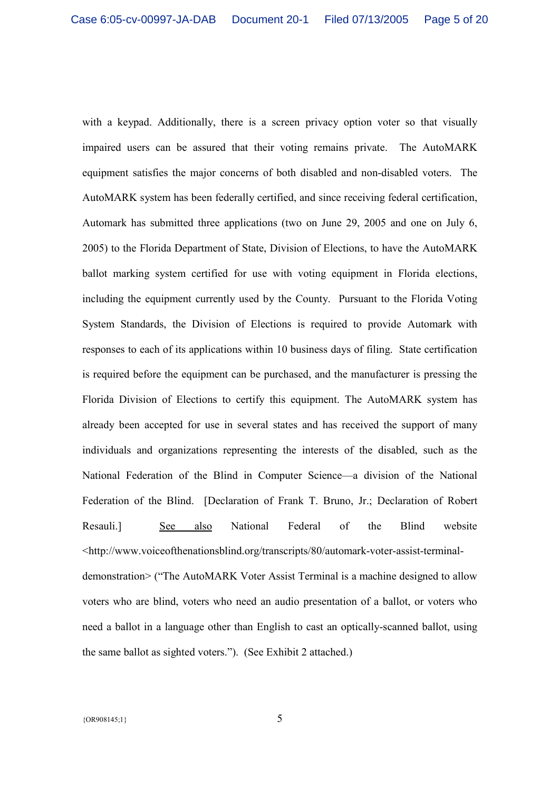with a keypad. Additionally, there is a screen privacy option voter so that visually impaired users can be assured that their voting remains private. The AutoMARK equipment satisfies the major concerns of both disabled and non-disabled voters. The AutoMARK system has been federally certified, and since receiving federal certification, Automark has submitted three applications (two on June 29, 2005 and one on July 6, 2005) to the Florida Department of State, Division of Elections, to have the AutoMARK ballot marking system certified for use with voting equipment in Florida elections, including the equipment currently used by the County. Pursuant to the Florida Voting System Standards, the Division of Elections is required to provide Automark with responses to each of its applications within 10 business days of filing. State certification is required before the equipment can be purchased, and the manufacturer is pressing the Florida Division of Elections to certify this equipment. The AutoMARK system has already been accepted for use in several states and has received the support of many individuals and organizations representing the interests of the disabled, such as the National Federation of the Blind in Computer Science—a division of the National Federation of the Blind. [Declaration of Frank T. Bruno, Jr.; Declaration of Robert Resauli.] See also National Federal of the Blind website <http://www.voiceofthenationsblind.org/transcripts/80/automark-voter-assist-terminaldemonstration> ("The AutoMARK Voter Assist Terminal is a machine designed to allow voters who are blind, voters who need an audio presentation of a ballot, or voters who need a ballot in a language other than English to cast an optically-scanned ballot, using the same ballot as sighted voters."). (See Exhibit 2 attached.)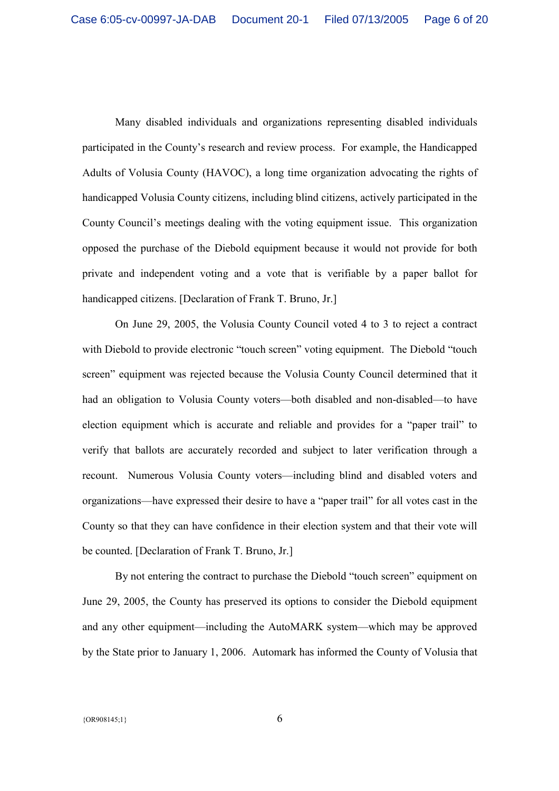Many disabled individuals and organizations representing disabled individuals participated in the County's research and review process. For example, the Handicapped Adults of Volusia County (HAVOC), a long time organization advocating the rights of handicapped Volusia County citizens, including blind citizens, actively participated in the County Council's meetings dealing with the voting equipment issue. This organization opposed the purchase of the Diebold equipment because it would not provide for both private and independent voting and a vote that is verifiable by a paper ballot for handicapped citizens. [Declaration of Frank T. Bruno, Jr.]

On June 29, 2005, the Volusia County Council voted 4 to 3 to reject a contract with Diebold to provide electronic "touch screen" voting equipment. The Diebold "touch screen" equipment was rejected because the Volusia County Council determined that it had an obligation to Volusia County voters—both disabled and non-disabled—to have election equipment which is accurate and reliable and provides for a "paper trail" to verify that ballots are accurately recorded and subject to later verification through a recount. Numerous Volusia County voters—including blind and disabled voters and organizations—have expressed their desire to have a "paper trail" for all votes cast in the County so that they can have confidence in their election system and that their vote will be counted. [Declaration of Frank T. Bruno, Jr.]

By not entering the contract to purchase the Diebold "touch screen" equipment on June 29, 2005, the County has preserved its options to consider the Diebold equipment and any other equipment—including the AutoMARK system—which may be approved by the State prior to January 1, 2006. Automark has informed the County of Volusia that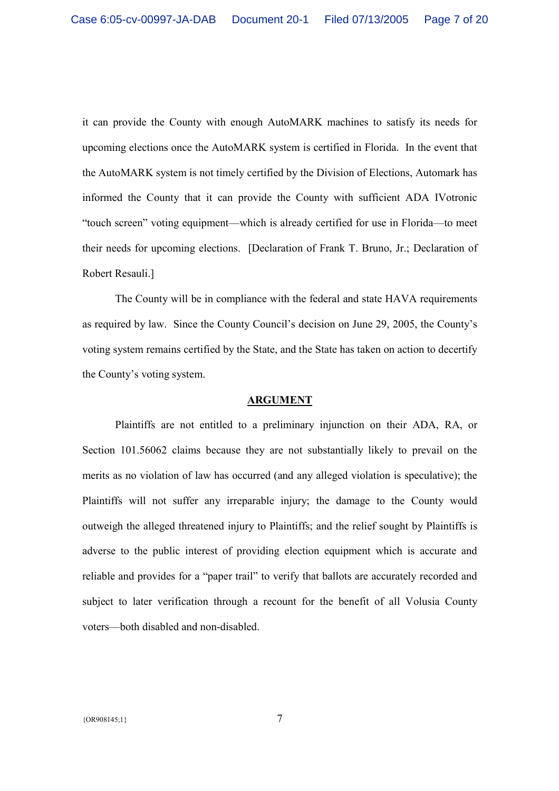it can provide the County with enough AutoMARK machines to satisfy its needs for upcoming elections once the AutoMARK system is certified in Florida. In the event that the AutoMARK system is not timely certified by the Division of Elections, Automark has informed the County that it can provide the County with sufficient ADA IVotronic "touch screen" voting equipment—which is already certified for use in Florida—to meet their needs for upcoming elections. [Declaration of Frank T. Bruno, Jr.; Declaration of Robert Resauli.]

The County will be in compliance with the federal and state HAVA requirements as required by law. Since the County Council's decision on June 29, 2005, the County's voting system remains certified by the State, and the State has taken on action to decertify the County's voting system.

#### **ARGUMENT**

Plaintiffs are not entitled to a preliminary injunction on their ADA, RA, or Section 101.56062 claims because they are not substantially likely to prevail on the merits as no violation of law has occurred (and any alleged violation is speculative); the Plaintiffs will not suffer any irreparable injury; the damage to the County would outweigh the alleged threatened injury to Plaintiffs; and the relief sought by Plaintiffs is adverse to the public interest of providing election equipment which is accurate and reliable and provides for a "paper trail" to verify that ballots are accurately recorded and subject to later verification through a recount for the benefit of all Volusia County voters—both disabled and non-disabled.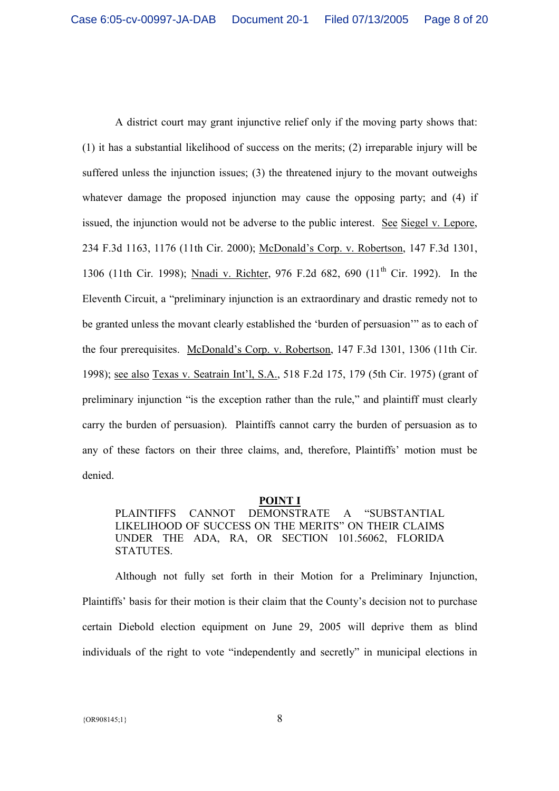A district court may grant injunctive relief only if the moving party shows that: (1) it has a substantial likelihood of success on the merits; (2) irreparable injury will be suffered unless the injunction issues; (3) the threatened injury to the movant outweighs whatever damage the proposed injunction may cause the opposing party; and (4) if issued, the injunction would not be adverse to the public interest. See Siegel v. Lepore, 234 F.3d 1163, 1176 (11th Cir. 2000); McDonald's Corp. v. Robertson, 147 F.3d 1301, 1306 (11th Cir. 1998); Nnadi v. Richter, 976 F.2d 682, 690 (11<sup>th</sup> Cir. 1992). In the Eleventh Circuit, a "preliminary injunction is an extraordinary and drastic remedy not to be granted unless the movant clearly established the 'burden of persuasion'" as to each of the four prerequisites. McDonald's Corp. v. Robertson, 147 F.3d 1301, 1306 (11th Cir. 1998); see also Texas v. Seatrain Int'l, S.A., 518 F.2d 175, 179 (5th Cir. 1975) (grant of preliminary injunction "is the exception rather than the rule," and plaintiff must clearly carry the burden of persuasion). Plaintiffs cannot carry the burden of persuasion as to any of these factors on their three claims, and, therefore, Plaintiffs' motion must be denied.

### **POINT I**

PLAINTIFFS CANNOT DEMONSTRATE A "SUBSTANTIAL LIKELIHOOD OF SUCCESS ON THE MERITS" ON THEIR CLAIMS UNDER THE ADA, RA, OR SECTION 101.56062, FLORIDA STATUTES.

Although not fully set forth in their Motion for a Preliminary Injunction, Plaintiffs' basis for their motion is their claim that the County's decision not to purchase certain Diebold election equipment on June 29, 2005 will deprive them as blind individuals of the right to vote "independently and secretly" in municipal elections in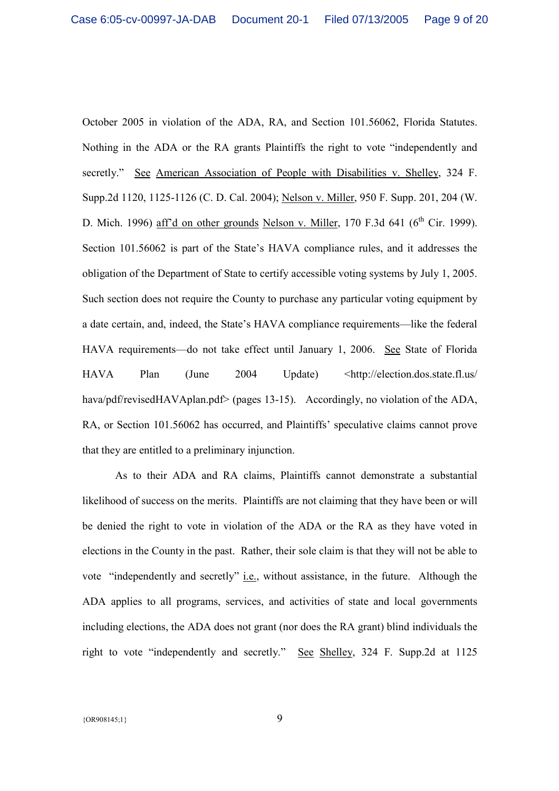October 2005 in violation of the ADA, RA, and Section 101.56062, Florida Statutes. Nothing in the ADA or the RA grants Plaintiffs the right to vote "independently and secretly." See American Association of People with Disabilities v. Shelley, 324 F. Supp.2d 1120, 1125-1126 (C. D. Cal. 2004); Nelson v. Miller, 950 F. Supp. 201, 204 (W. D. Mich. 1996) aff'd on other grounds Nelson v. Miller, 170 F.3d 641 ( $6<sup>th</sup>$  Cir. 1999). Section 101.56062 is part of the State's HAVA compliance rules, and it addresses the obligation of the Department of State to certify accessible voting systems by July 1, 2005. Such section does not require the County to purchase any particular voting equipment by a date certain, and, indeed, the State's HAVA compliance requirements—like the federal HAVA requirements—do not take effect until January 1, 2006. See State of Florida HAVA Plan (June 2004 Update) <http://election.dos.state.fl.us/ hava/pdf/revisedHAVAplan.pdf> (pages 13-15). Accordingly, no violation of the ADA, RA, or Section 101.56062 has occurred, and Plaintiffs' speculative claims cannot prove that they are entitled to a preliminary injunction.

 As to their ADA and RA claims, Plaintiffs cannot demonstrate a substantial likelihood of success on the merits. Plaintiffs are not claiming that they have been or will be denied the right to vote in violation of the ADA or the RA as they have voted in elections in the County in the past. Rather, their sole claim is that they will not be able to vote "independently and secretly" i.e., without assistance, in the future. Although the ADA applies to all programs, services, and activities of state and local governments including elections, the ADA does not grant (nor does the RA grant) blind individuals the right to vote "independently and secretly." See Shelley, 324 F. Supp.2d at 1125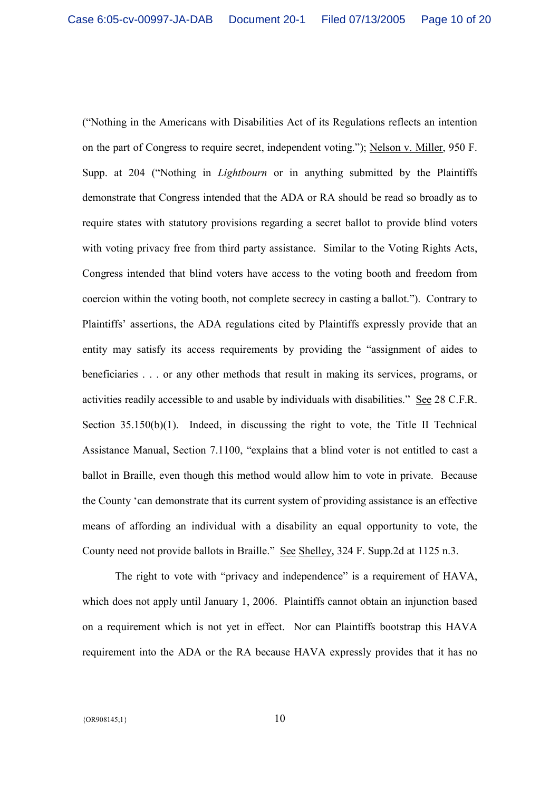("Nothing in the Americans with Disabilities Act of its Regulations reflects an intention on the part of Congress to require secret, independent voting."); Nelson v. Miller, 950 F. Supp. at 204 ("Nothing in *Lightbourn* or in anything submitted by the Plaintiffs demonstrate that Congress intended that the ADA or RA should be read so broadly as to require states with statutory provisions regarding a secret ballot to provide blind voters with voting privacy free from third party assistance. Similar to the Voting Rights Acts, Congress intended that blind voters have access to the voting booth and freedom from coercion within the voting booth, not complete secrecy in casting a ballot."). Contrary to Plaintiffs' assertions, the ADA regulations cited by Plaintiffs expressly provide that an entity may satisfy its access requirements by providing the "assignment of aides to beneficiaries . . . or any other methods that result in making its services, programs, or activities readily accessible to and usable by individuals with disabilities." See 28 C.F.R. Section 35.150(b)(1). Indeed, in discussing the right to vote, the Title II Technical Assistance Manual, Section 7.1100, "explains that a blind voter is not entitled to cast a ballot in Braille, even though this method would allow him to vote in private. Because the County 'can demonstrate that its current system of providing assistance is an effective means of affording an individual with a disability an equal opportunity to vote, the County need not provide ballots in Braille." See Shelley, 324 F. Supp.2d at 1125 n.3.

The right to vote with "privacy and independence" is a requirement of HAVA, which does not apply until January 1, 2006. Plaintiffs cannot obtain an injunction based on a requirement which is not yet in effect. Nor can Plaintiffs bootstrap this HAVA requirement into the ADA or the RA because HAVA expressly provides that it has no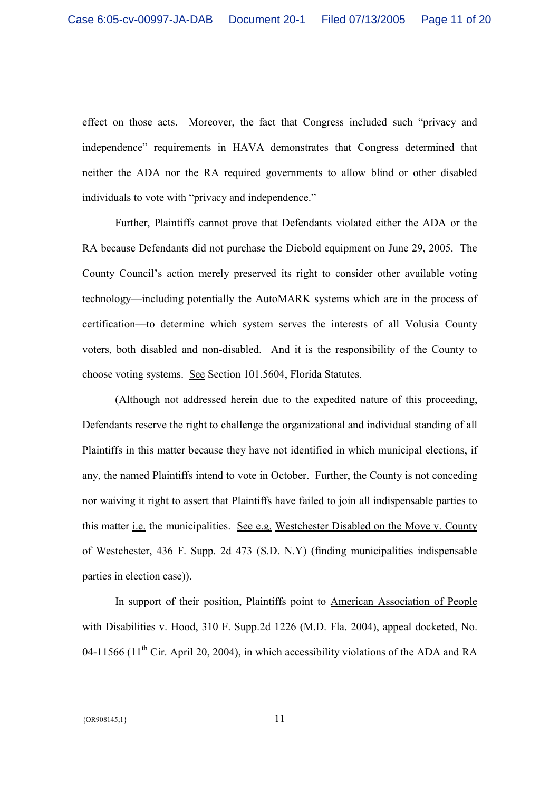effect on those acts. Moreover, the fact that Congress included such "privacy and independence" requirements in HAVA demonstrates that Congress determined that neither the ADA nor the RA required governments to allow blind or other disabled individuals to vote with "privacy and independence."

 Further, Plaintiffs cannot prove that Defendants violated either the ADA or the RA because Defendants did not purchase the Diebold equipment on June 29, 2005. The County Council's action merely preserved its right to consider other available voting technology—including potentially the AutoMARK systems which are in the process of certification—to determine which system serves the interests of all Volusia County voters, both disabled and non-disabled. And it is the responsibility of the County to choose voting systems. See Section 101.5604, Florida Statutes.

(Although not addressed herein due to the expedited nature of this proceeding, Defendants reserve the right to challenge the organizational and individual standing of all Plaintiffs in this matter because they have not identified in which municipal elections, if any, the named Plaintiffs intend to vote in October. Further, the County is not conceding nor waiving it right to assert that Plaintiffs have failed to join all indispensable parties to this matter i.e. the municipalities. See e.g. Westchester Disabled on the Move v. County of Westchester, 436 F. Supp. 2d 473 (S.D. N.Y) (finding municipalities indispensable parties in election case)).

In support of their position, Plaintiffs point to American Association of People with Disabilities v. Hood, 310 F. Supp.2d 1226 (M.D. Fla. 2004), appeal docketed, No. 04-11566 (11<sup>th</sup> Cir. April 20, 2004), in which accessibility violations of the ADA and RA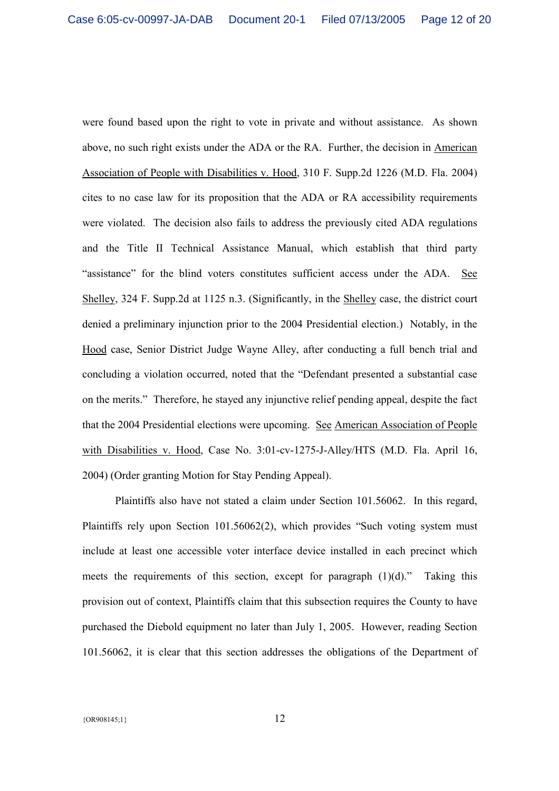were found based upon the right to vote in private and without assistance. As shown above, no such right exists under the ADA or the RA. Further, the decision in American Association of People with Disabilities v. Hood, 310 F. Supp.2d 1226 (M.D. Fla. 2004) cites to no case law for its proposition that the ADA or RA accessibility requirements were violated. The decision also fails to address the previously cited ADA regulations and the Title II Technical Assistance Manual, which establish that third party "assistance" for the blind voters constitutes sufficient access under the ADA. See Shelley, 324 F. Supp.2d at 1125 n.3. (Significantly, in the Shelley case, the district court denied a preliminary injunction prior to the 2004 Presidential election.) Notably, in the Hood case, Senior District Judge Wayne Alley, after conducting a full bench trial and concluding a violation occurred, noted that the "Defendant presented a substantial case on the merits." Therefore, he stayed any injunctive relief pending appeal, despite the fact that the 2004 Presidential elections were upcoming. See American Association of People with Disabilities v. Hood, Case No. 3:01-cv-1275-J-Alley/HTS (M.D. Fla. April 16, 2004) (Order granting Motion for Stay Pending Appeal).

Plaintiffs also have not stated a claim under Section 101.56062. In this regard, Plaintiffs rely upon Section 101.56062(2), which provides "Such voting system must include at least one accessible voter interface device installed in each precinct which meets the requirements of this section, except for paragraph (1)(d)." Taking this provision out of context, Plaintiffs claim that this subsection requires the County to have purchased the Diebold equipment no later than July 1, 2005. However, reading Section 101.56062, it is clear that this section addresses the obligations of the Department of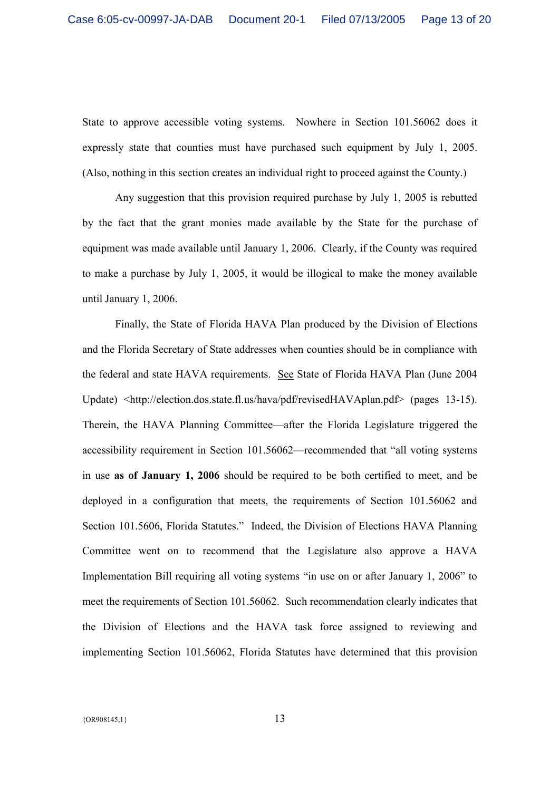State to approve accessible voting systems. Nowhere in Section 101.56062 does it expressly state that counties must have purchased such equipment by July 1, 2005. (Also, nothing in this section creates an individual right to proceed against the County.)

Any suggestion that this provision required purchase by July 1, 2005 is rebutted by the fact that the grant monies made available by the State for the purchase of equipment was made available until January 1, 2006. Clearly, if the County was required to make a purchase by July 1, 2005, it would be illogical to make the money available until January 1, 2006.

Finally, the State of Florida HAVA Plan produced by the Division of Elections and the Florida Secretary of State addresses when counties should be in compliance with the federal and state HAVA requirements. See State of Florida HAVA Plan (June 2004 Update) <http://election.dos.state.fl.us/hava/pdf/revisedHAVAplan.pdf> (pages 13-15). Therein, the HAVA Planning Committee—after the Florida Legislature triggered the accessibility requirement in Section 101.56062—recommended that "all voting systems in use **as of January 1, 2006** should be required to be both certified to meet, and be deployed in a configuration that meets, the requirements of Section 101.56062 and Section 101.5606, Florida Statutes." Indeed, the Division of Elections HAVA Planning Committee went on to recommend that the Legislature also approve a HAVA Implementation Bill requiring all voting systems "in use on or after January 1, 2006" to meet the requirements of Section 101.56062. Such recommendation clearly indicates that the Division of Elections and the HAVA task force assigned to reviewing and implementing Section 101.56062, Florida Statutes have determined that this provision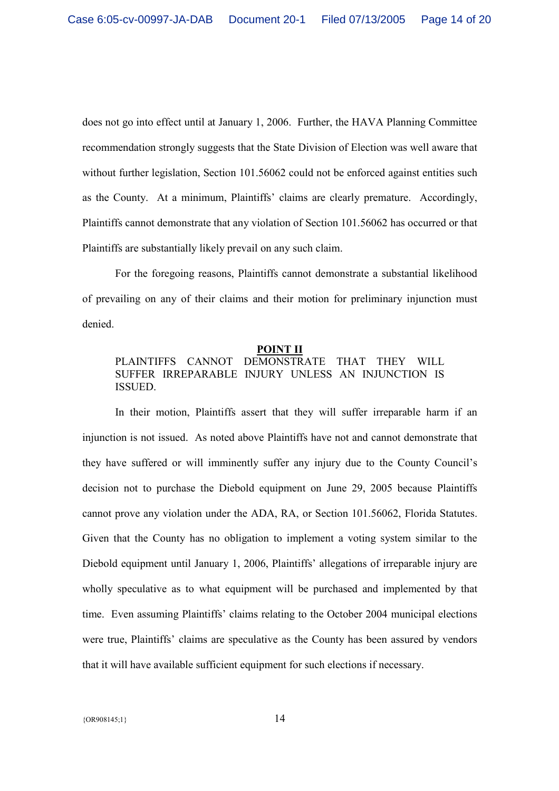does not go into effect until at January 1, 2006. Further, the HAVA Planning Committee recommendation strongly suggests that the State Division of Election was well aware that without further legislation, Section 101.56062 could not be enforced against entities such as the County. At a minimum, Plaintiffs' claims are clearly premature. Accordingly, Plaintiffs cannot demonstrate that any violation of Section 101.56062 has occurred or that Plaintiffs are substantially likely prevail on any such claim.

 For the foregoing reasons, Plaintiffs cannot demonstrate a substantial likelihood of prevailing on any of their claims and their motion for preliminary injunction must denied.

## **POINT II** PLAINTIFFS CANNOT DEMONSTRATE THAT THEY WILL SUFFER IRREPARABLE INJURY UNLESS AN INJUNCTION IS ISSUED.

In their motion, Plaintiffs assert that they will suffer irreparable harm if an injunction is not issued. As noted above Plaintiffs have not and cannot demonstrate that they have suffered or will imminently suffer any injury due to the County Council's decision not to purchase the Diebold equipment on June 29, 2005 because Plaintiffs cannot prove any violation under the ADA, RA, or Section 101.56062, Florida Statutes. Given that the County has no obligation to implement a voting system similar to the Diebold equipment until January 1, 2006, Plaintiffs' allegations of irreparable injury are wholly speculative as to what equipment will be purchased and implemented by that time. Even assuming Plaintiffs' claims relating to the October 2004 municipal elections were true, Plaintiffs' claims are speculative as the County has been assured by vendors that it will have available sufficient equipment for such elections if necessary.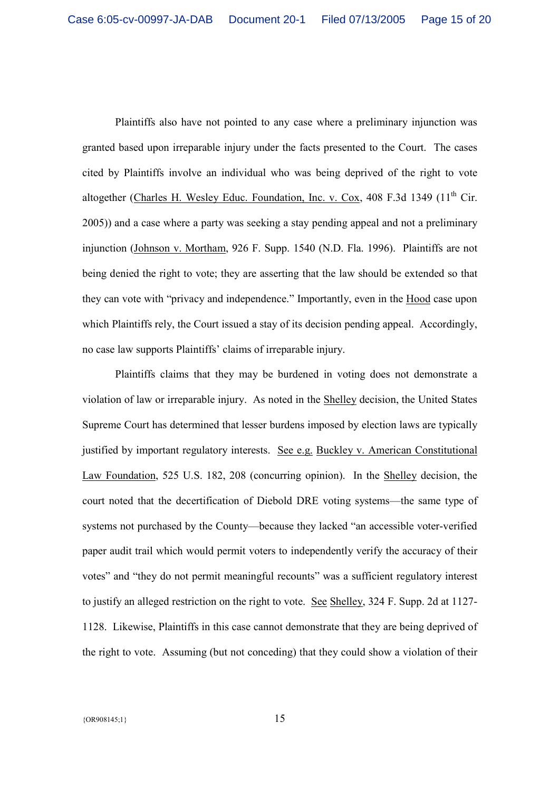Plaintiffs also have not pointed to any case where a preliminary injunction was granted based upon irreparable injury under the facts presented to the Court. The cases cited by Plaintiffs involve an individual who was being deprived of the right to vote altogether (Charles H. Wesley Educ. Foundation, Inc. v. Cox, 408 F.3d 1349 ( $11<sup>th</sup>$  Cir. 2005)) and a case where a party was seeking a stay pending appeal and not a preliminary injunction (Johnson v. Mortham, 926 F. Supp. 1540 (N.D. Fla. 1996). Plaintiffs are not being denied the right to vote; they are asserting that the law should be extended so that they can vote with "privacy and independence." Importantly, even in the Hood case upon which Plaintiffs rely, the Court issued a stay of its decision pending appeal. Accordingly, no case law supports Plaintiffs' claims of irreparable injury.

Plaintiffs claims that they may be burdened in voting does not demonstrate a violation of law or irreparable injury. As noted in the Shelley decision, the United States Supreme Court has determined that lesser burdens imposed by election laws are typically justified by important regulatory interests. See e.g. Buckley v. American Constitutional Law Foundation, 525 U.S. 182, 208 (concurring opinion). In the Shelley decision, the court noted that the decertification of Diebold DRE voting systems—the same type of systems not purchased by the County—because they lacked "an accessible voter-verified paper audit trail which would permit voters to independently verify the accuracy of their votes" and "they do not permit meaningful recounts" was a sufficient regulatory interest to justify an alleged restriction on the right to vote. See Shelley, 324 F. Supp. 2d at 1127- 1128. Likewise, Plaintiffs in this case cannot demonstrate that they are being deprived of the right to vote. Assuming (but not conceding) that they could show a violation of their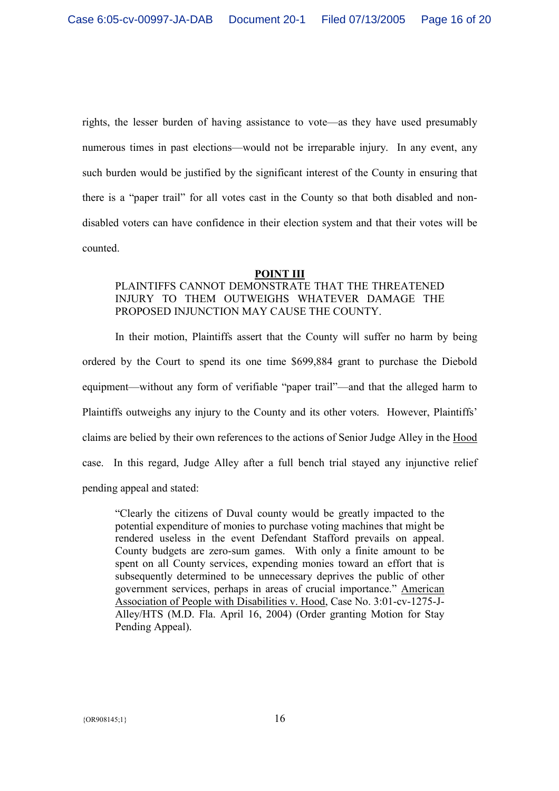rights, the lesser burden of having assistance to vote—as they have used presumably numerous times in past elections—would not be irreparable injury. In any event, any such burden would be justified by the significant interest of the County in ensuring that there is a "paper trail" for all votes cast in the County so that both disabled and nondisabled voters can have confidence in their election system and that their votes will be counted.

#### **POINT III**

## PLAINTIFFS CANNOT DEMONSTRATE THAT THE THREATENED INJURY TO THEM OUTWEIGHS WHATEVER DAMAGE THE PROPOSED INJUNCTION MAY CAUSE THE COUNTY.

In their motion, Plaintiffs assert that the County will suffer no harm by being ordered by the Court to spend its one time \$699,884 grant to purchase the Diebold equipment—without any form of verifiable "paper trail"—and that the alleged harm to Plaintiffs outweighs any injury to the County and its other voters. However, Plaintiffs' claims are belied by their own references to the actions of Senior Judge Alley in the Hood case. In this regard, Judge Alley after a full bench trial stayed any injunctive relief pending appeal and stated:

"Clearly the citizens of Duval county would be greatly impacted to the potential expenditure of monies to purchase voting machines that might be rendered useless in the event Defendant Stafford prevails on appeal. County budgets are zero-sum games. With only a finite amount to be spent on all County services, expending monies toward an effort that is subsequently determined to be unnecessary deprives the public of other government services, perhaps in areas of crucial importance." American Association of People with Disabilities v. Hood, Case No. 3:01-cv-1275-J-Alley/HTS (M.D. Fla. April 16, 2004) (Order granting Motion for Stay Pending Appeal).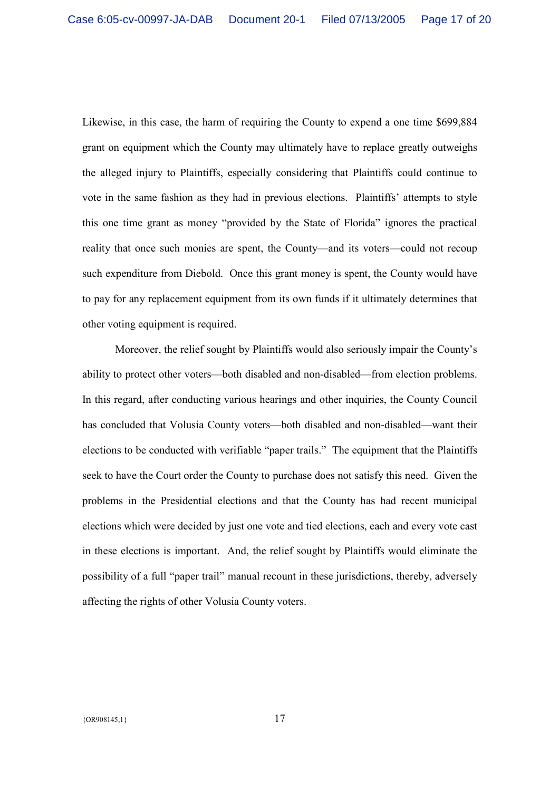Likewise, in this case, the harm of requiring the County to expend a one time \$699,884 grant on equipment which the County may ultimately have to replace greatly outweighs the alleged injury to Plaintiffs, especially considering that Plaintiffs could continue to vote in the same fashion as they had in previous elections. Plaintiffs' attempts to style this one time grant as money "provided by the State of Florida" ignores the practical reality that once such monies are spent, the County—and its voters—could not recoup such expenditure from Diebold. Once this grant money is spent, the County would have to pay for any replacement equipment from its own funds if it ultimately determines that other voting equipment is required.

Moreover, the relief sought by Plaintiffs would also seriously impair the County's ability to protect other voters—both disabled and non-disabled—from election problems. In this regard, after conducting various hearings and other inquiries, the County Council has concluded that Volusia County voters—both disabled and non-disabled—want their elections to be conducted with verifiable "paper trails." The equipment that the Plaintiffs seek to have the Court order the County to purchase does not satisfy this need. Given the problems in the Presidential elections and that the County has had recent municipal elections which were decided by just one vote and tied elections, each and every vote cast in these elections is important. And, the relief sought by Plaintiffs would eliminate the possibility of a full "paper trail" manual recount in these jurisdictions, thereby, adversely affecting the rights of other Volusia County voters.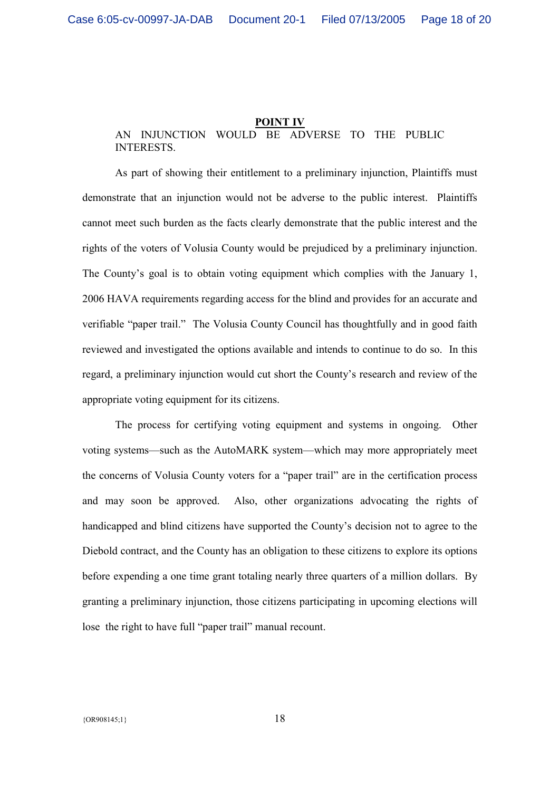### **POINT IV** AN INJUNCTION WOULD BE ADVERSE TO THE PUBLIC INTERESTS.

As part of showing their entitlement to a preliminary injunction, Plaintiffs must demonstrate that an injunction would not be adverse to the public interest. Plaintiffs cannot meet such burden as the facts clearly demonstrate that the public interest and the rights of the voters of Volusia County would be prejudiced by a preliminary injunction. The County's goal is to obtain voting equipment which complies with the January 1, 2006 HAVA requirements regarding access for the blind and provides for an accurate and verifiable "paper trail." The Volusia County Council has thoughtfully and in good faith reviewed and investigated the options available and intends to continue to do so. In this regard, a preliminary injunction would cut short the County's research and review of the appropriate voting equipment for its citizens.

The process for certifying voting equipment and systems in ongoing. Other voting systems—such as the AutoMARK system—which may more appropriately meet the concerns of Volusia County voters for a "paper trail" are in the certification process and may soon be approved. Also, other organizations advocating the rights of handicapped and blind citizens have supported the County's decision not to agree to the Diebold contract, and the County has an obligation to these citizens to explore its options before expending a one time grant totaling nearly three quarters of a million dollars. By granting a preliminary injunction, those citizens participating in upcoming elections will lose the right to have full "paper trail" manual recount.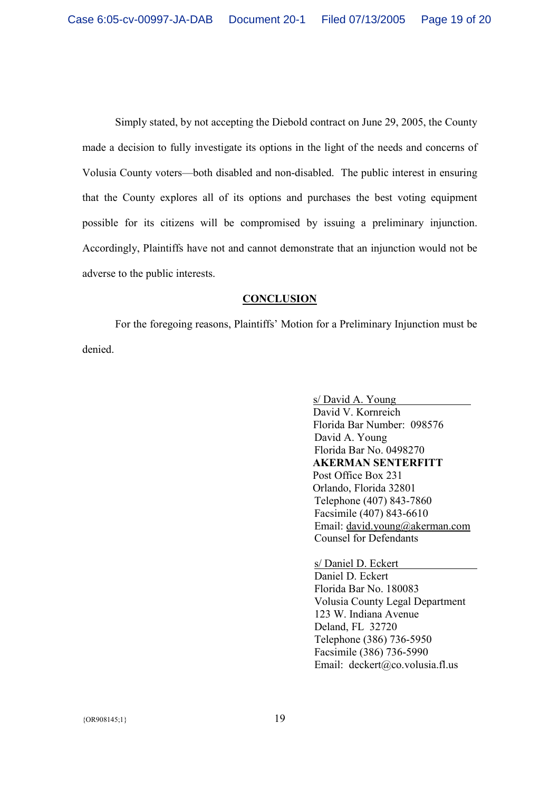Simply stated, by not accepting the Diebold contract on June 29, 2005, the County made a decision to fully investigate its options in the light of the needs and concerns of Volusia County voters—both disabled and non-disabled. The public interest in ensuring that the County explores all of its options and purchases the best voting equipment possible for its citizens will be compromised by issuing a preliminary injunction. Accordingly, Plaintiffs have not and cannot demonstrate that an injunction would not be adverse to the public interests.

### **CONCLUSION**

For the foregoing reasons, Plaintiffs' Motion for a Preliminary Injunction must be denied.

> s/ David A. Young David V. Kornreich Florida Bar Number: 098576 David A. Young Florida Bar No. 0498270 **AKERMAN SENTERFITT**  Post Office Box 231 Orlando, Florida 32801 Telephone (407) 843-7860 Facsimile (407) 843-6610 Email: david.young@akerman.com Counsel for Defendants

s/ Daniel D. Eckert

Daniel D. Eckert Florida Bar No. 180083 Volusia County Legal Department 123 W. Indiana Avenue Deland, FL 32720 Telephone (386) 736-5950 Facsimile (386) 736-5990 Email: deckert@co.volusia.fl.us